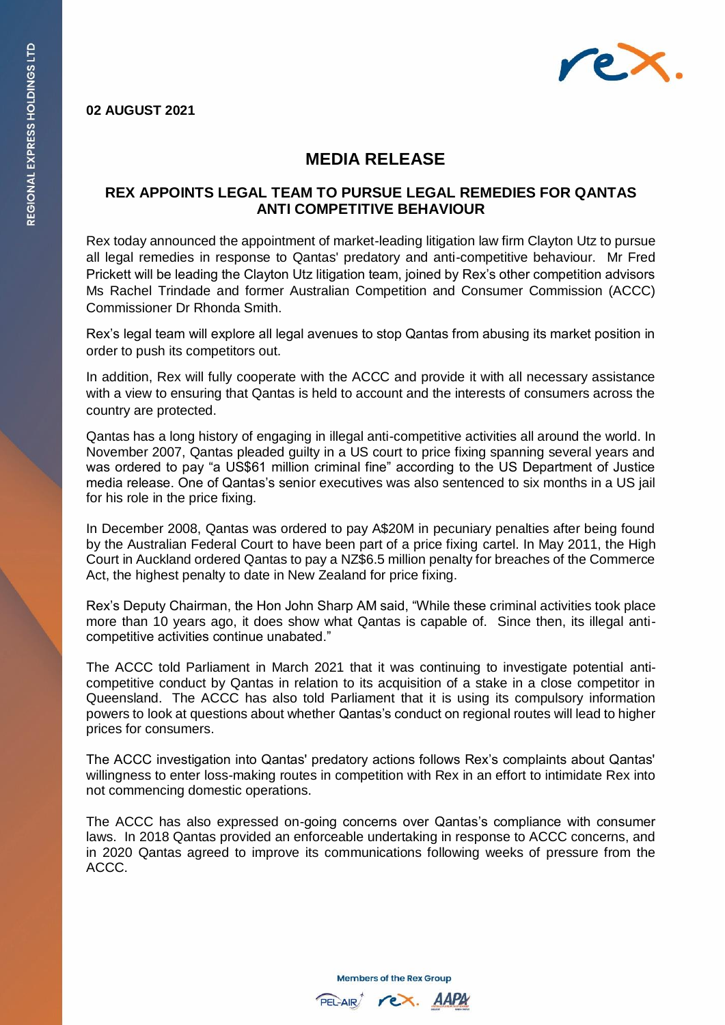

## **02 AUGUST 2021**

## **MEDIA RELEASE**

## **REX APPOINTS LEGAL TEAM TO PURSUE LEGAL REMEDIES FOR QANTAS ANTI COMPETITIVE BEHAVIOUR**

Rex today announced the appointment of market-leading litigation law firm Clayton Utz to pursue all legal remedies in response to Qantas' predatory and anti-competitive behaviour. Mr Fred Prickett will be leading the Clayton Utz litigation team, joined by Rex's other competition advisors Ms Rachel Trindade and former Australian Competition and Consumer Commission (ACCC) Commissioner Dr Rhonda Smith.

Rex's legal team will explore all legal avenues to stop Qantas from abusing its market position in order to push its competitors out.

In addition, Rex will fully cooperate with the ACCC and provide it with all necessary assistance with a view to ensuring that Qantas is held to account and the interests of consumers across the country are protected.

Qantas has a long history of engaging in illegal anti-competitive activities all around the world. In November 2007, Qantas pleaded guilty in a US court to price fixing spanning several years and was ordered to pay "a US\$61 million criminal fine" according to the US Department of Justice media release. One of Qantas's senior executives was also sentenced to six months in a US jail for his role in the price fixing.

In December 2008, Qantas was ordered to pay A\$20M in pecuniary penalties after being found by the Australian Federal Court to have been part of a price fixing cartel. In May 2011, the High Court in Auckland ordered Qantas to pay a NZ\$6.5 million penalty for breaches of the Commerce Act, the highest penalty to date in New Zealand for price fixing.

Rex's Deputy Chairman, the Hon John Sharp AM said, "While these criminal activities took place more than 10 years ago, it does show what Qantas is capable of. Since then, its illegal anticompetitive activities continue unabated."

The ACCC told Parliament in March 2021 that it was continuing to investigate potential anticompetitive conduct by Qantas in relation to its acquisition of a stake in a close competitor in Queensland. The ACCC has also told Parliament that it is using its compulsory information powers to look at questions about whether Qantas's conduct on regional routes will lead to higher prices for consumers.

The ACCC investigation into Qantas' predatory actions follows Rex's complaints about Qantas' willingness to enter loss-making routes in competition with Rex in an effort to intimidate Rex into not commencing domestic operations.

The ACCC has also expressed on-going concerns over Qantas's compliance with consumer laws. In 2018 Qantas provided an enforceable undertaking in response to ACCC concerns, and in 2020 Qantas agreed to improve its communications following weeks of pressure from the ACCC.

**Members of the Rex Group**